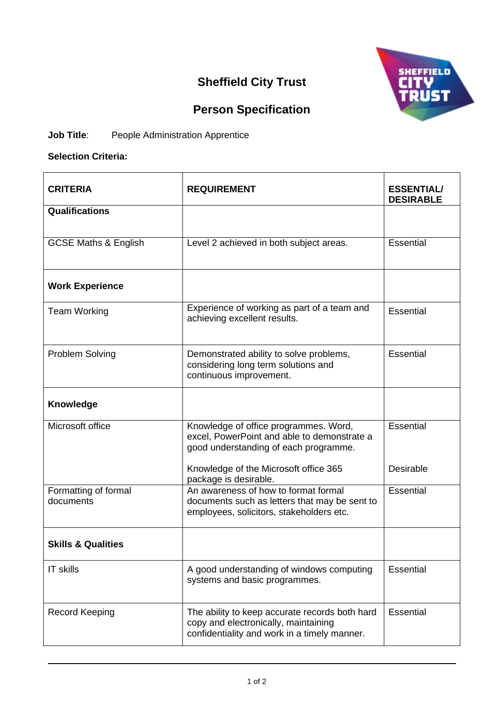## **Sheffield City Trust**



## **Person Specification**

## **Job Title:** People Administration Apprentice

## **Selection Criteria:**

| <b>CRITERIA</b>                   | <b>REQUIREMENT</b>                                                                                                                     | <b>ESSENTIAL</b><br><b>DESIRABLE</b> |
|-----------------------------------|----------------------------------------------------------------------------------------------------------------------------------------|--------------------------------------|
| <b>Qualifications</b>             |                                                                                                                                        |                                      |
| <b>GCSE Maths &amp; English</b>   | Level 2 achieved in both subject areas.                                                                                                | Essential                            |
| <b>Work Experience</b>            |                                                                                                                                        |                                      |
| <b>Team Working</b>               | Experience of working as part of a team and<br>achieving excellent results.                                                            | Essential                            |
| <b>Problem Solving</b>            | Demonstrated ability to solve problems,<br>considering long term solutions and<br>continuous improvement.                              | Essential                            |
| Knowledge                         |                                                                                                                                        |                                      |
| Microsoft office                  | Knowledge of office programmes. Word,<br>excel, PowerPoint and able to demonstrate a<br>good understanding of each programme.          | <b>Essential</b>                     |
|                                   | Knowledge of the Microsoft office 365<br>package is desirable.                                                                         | Desirable                            |
| Formatting of formal<br>documents | An awareness of how to format formal<br>documents such as letters that may be sent to<br>employees, solicitors, stakeholders etc.      | Essential                            |
| <b>Skills &amp; Qualities</b>     |                                                                                                                                        |                                      |
| <b>IT skills</b>                  | A good understanding of windows computing<br>systems and basic programmes.                                                             | <b>Essential</b>                     |
| <b>Record Keeping</b>             | The ability to keep accurate records both hard<br>copy and electronically, maintaining<br>confidentiality and work in a timely manner. | Essential                            |